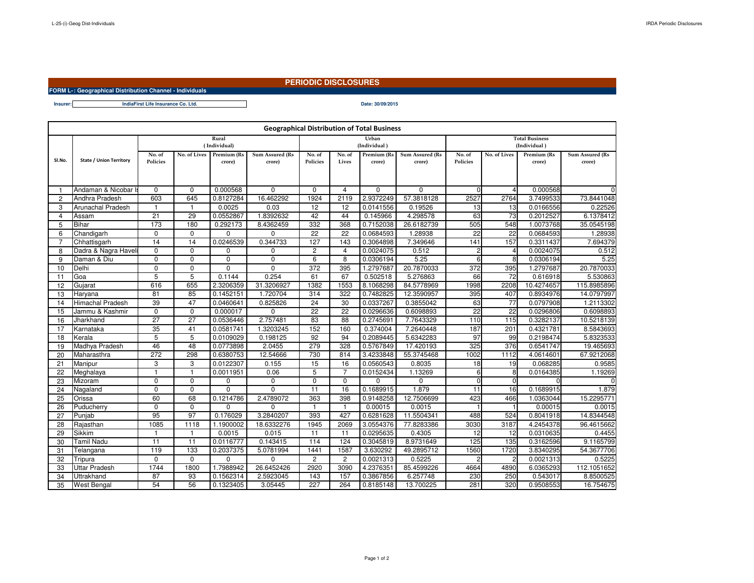**Insurer:**

## **PERIODIC DISCLOSURES**

**FORM L-25- (i) : Geographical Distribution Channel - Individuals**

**Date: 30/09/2015IndiaFirst Life Insurance Co. Ltd.**

| <b>Geographical Distribution of Total Business</b> |                                |                    |                 |                       |                           |                       |                 |                                       |                           |                    |                |                       |                           |
|----------------------------------------------------|--------------------------------|--------------------|-----------------|-----------------------|---------------------------|-----------------------|-----------------|---------------------------------------|---------------------------|--------------------|----------------|-----------------------|---------------------------|
|                                                    | <b>State / Union Territory</b> |                    |                 |                       |                           | Urban<br>(Individual) |                 | <b>Total Business</b><br>(Individual) |                           |                    |                |                       |                           |
| SI.No.                                             |                                | No. of<br>Policies | No. of Lives    | Premium (Rs<br>crore) | Sum Assured (Rs<br>crore) | No. of<br>Policies    | No. of<br>Lives | Premium (Rs<br>crore)                 | Sum Assured (Rs<br>crore) | No. of<br>Policies | No. of Lives   | Premium (Rs<br>crore) | Sum Assured (Rs<br>crore) |
| -1                                                 | Andaman & Nicobar I            | $\Omega$           | $\Omega$        | 0.000568              | $\Omega$                  | $\Omega$              | $\overline{4}$  | $\Omega$                              | $\Omega$                  | $\Omega$           | $\overline{4}$ | 0.000568              | $\Omega$                  |
| $\overline{c}$                                     | Andhra Pradesh                 | 603                | 645             | 0.8127284             | 16.462292                 | 1924                  | 2119            | 2.9372249                             | 57.3818128                | 2527               | 2764           | 3.7499533             | 73.8441048                |
| 3                                                  | Arunachal Pradesh              | 1                  | -1              | 0.0025                | 0.03                      | 12                    | 12              | 0.0141556                             | 0.19526                   | 13                 | 13             | 0.0166556             | 0.22526                   |
| $\overline{4}$                                     | Assam                          | 21                 | 29              | 0.0552867             | 1.8392632                 | 42                    | 44              | 0.145966                              | 4.298578                  | 63                 | 73             | 0.2012527             | 6.1378412                 |
| 5                                                  | <b>Bihar</b>                   | 173                | 180             | 0.292173              | 8.4362459                 | 332                   | 368             | 0.7152038                             | 26.6182739                | 505                | 548            | 1.0073768             | 35.0545198                |
| 6                                                  | Chandigarh                     | 0                  | $\Omega$        | 0                     | $\mathbf 0$               | $\overline{22}$       | $\overline{22}$ | 0.0684593                             | 1.28938                   | $\overline{22}$    | 22             | 0.0684593             | 1.28938                   |
| $\overline{7}$                                     | Chhattisgarh                   | 14                 | 14              | 0.0246539             | 0.344733                  | 127                   | 143             | 0.3064898                             | 7.349646                  | 141                | 157            | 0.3311437             | 7.694379                  |
| 8                                                  | Dadra & Nagra Havel            | $\Omega$           | $\Omega$        | $\Omega$              | $\mathbf 0$               | $\overline{2}$        | 4               | 0.0024075                             | 0.512                     | 2                  | $\overline{4}$ | 0.0024075             | 0.512                     |
| 9                                                  | Daman & Diu                    | $\Omega$           | 0               | $\Omega$              | $\Omega$                  | 6                     | 8               | 0.0306194                             | 5.25                      | 6                  | 8              | 0.0306194             | 5.25                      |
| 10                                                 | Delhi                          | 0                  | 0               | $\Omega$              | $\Omega$                  | 372                   | 395             | 1.2797687                             | 20.7870033                | 372                | 395            | 1.2797687             | 20.7870033                |
| 11                                                 | Goa                            | 5                  | 5               | 0.1144                | 0.254                     | 61                    | 67              | 0.502518                              | 5.276863                  | 66                 | 72             | 0.616918              | 5.530863                  |
| 12                                                 | Gujarat                        | 616                | 655             | 2.3206359             | 31.3206927                | 1382                  | 1553            | 8.1068298                             | 84.5778969                | 1998               | 2208           | 10.4274657            | 115.8985896               |
| 13                                                 | Haryana                        | 81                 | 85              | 0.1452151             | 1.720704                  | 314                   | 322             | 0.7482825                             | 12.3590957                | 395                | 407            | 0.8934976             | 14.0797997                |
| 14                                                 | <b>Himachal Pradesh</b>        | $\overline{39}$    | 47              | 0.0460641             | 0.825826                  | 24                    | 30              | 0.0337267                             | 0.3855042                 | 63                 | 77             | 0.0797908             | 1.2113302                 |
| 15                                                 | Jammu & Kashmir                | 0                  | 0               | 0.000017              | $\mathbf 0$               | 22                    | $\overline{22}$ | 0.0296636                             | 0.6098893                 | 22                 | 22             | 0.0296806             | 0.6098893                 |
| 16                                                 | Jharkhand                      | $\overline{27}$    | $\overline{27}$ | 0.0536446             | 2.757481                  | $\overline{83}$       | 88              | 0.2745691                             | 7.7643329                 | 110                | 115            | 0.3282137             | 10.5218139                |
| 17                                                 | Karnataka                      | $\overline{35}$    | 41              | 0.0581741             | 1.3203245                 | 152                   | 160             | 0.374004                              | 7.2640448                 | 187                | 201            | 0.4321781             | 8.5843693                 |
| 18                                                 | Kerala                         | 5                  | 5               | 0.0109029             | 0.198125                  | 92                    | 94              | 0.2089445                             | 5.6342283                 | 97                 | 99             | 0.2198474             | 5.8323533                 |
| 19                                                 | Madhya Pradesh                 | 46                 | 48              | 0.0773898             | 2.0455                    | 279                   | 328             | 0.5767849                             | 17.420193                 | 325                | 376            | 0.6541747             | 19.465693                 |
| 20                                                 | Maharasthra                    | 272                | 298             | 0.6380753             | 12.54666                  | 730                   | 814             | 3.4233848                             | 55.3745468                | 1002               | 1112           | 4.0614601             | 67.9212068                |
| 21                                                 | Manipur                        | 3                  | 3               | 0.0122307             | 0.155                     | 15                    | 16              | 0.0560543                             | 0.8035                    | $\overline{18}$    | 19             | 0.068285              | 0.9585                    |
| 22                                                 | Meghalaya                      | $\mathbf{1}$       | $\mathbf{1}$    | 0.0011951             | 0.06                      | 5                     | $\overline{7}$  | 0.0152434                             | 1.13269                   | 6                  | 8              | 0.0164385             | 1.19269                   |
| 23                                                 | Mizoram                        | 0                  | $\mathbf 0$     | 0                     | 0                         | $\mathbf 0$           | $\mathbf 0$     | 0                                     | $\mathbf 0$               | $\mathbf 0$        | $\Omega$       |                       | $\Omega$                  |
| 24                                                 | Nagaland                       | $\overline{0}$     | $\Omega$        | $\overline{0}$        | $\overline{0}$            | $\overline{11}$       | 16              | 0.1689915                             | 1.879                     | 11                 | 16             | 0.1689915             | 1.879                     |
| 25                                                 | Orissa                         | 60                 | 68              | 0.1214786             | 2.4789072                 | 363                   | 398             | 0.9148258                             | 12.7506699                | 423                | 466            | 1.0363044             | 15.2295771                |
| 26                                                 | Puducherry                     | $\Omega$           | $\Omega$        | $\Omega$              | $\Omega$                  | -1                    | -1              | 0.00015                               | 0.0015                    | -1                 |                | 0.00015               | 0.0015                    |
| 27                                                 | Punjab                         | 95                 | 97              | 0.176029              | 3.2840207                 | 393                   | 427             | 0.6281628                             | 11.5504341                | 488                | 524            | 0.8041918             | 14.8344548                |
| 28                                                 | Rajasthan                      | 1085               | 1118            | 1.1900002             | 18.6332276                | 1945                  | 2069            | 3.0554376                             | 77.8283386                | 3030               | 3187           | 4.2454378             | 96.4615662                |
| 29                                                 | <b>Sikkim</b>                  | 1                  | -1              | 0.0015                | 0.015                     | 11                    | 11              | 0.0295635                             | 0.4305                    | 12                 | 12             | 0.0310635             | 0.4455                    |
| 30                                                 | Tamil Nadu                     | 11                 | 11              | 0.0116777             | 0.143415                  | 114                   | 124             | 0.3045819                             | 8.9731649                 | 125                | 135            | 0.3162596             | 9.1165799                 |
| 31                                                 | Telangana                      | 119                | 133             | 0.2037375             | 5.0781994                 | 1441                  | 1587            | 3.630292                              | 49.2895712                | 1560               | 1720           | 3.8340295             | 54.3677706                |
| 32                                                 | Tripura                        | $\Omega$           | $\Omega$        | $\Omega$              | 0                         | $\overline{2}$        | $\overline{2}$  | 0.0021313                             | 0.5225                    | $\overline{2}$     | 2              | 0.0021313             | 0.5225                    |
| 33                                                 | Uttar Pradesh                  | 1744               | 1800            | 1.7988942             | 26.6452426                | 2920                  | 3090            | 4.2376351                             | 85.4599226                | 4664               | 4890           | 6.0365293             | 112.1051652               |
| 34                                                 | Uttrakhand                     | 87                 | 93              | 0.1562314             | 2.5923045                 | 143                   | 157             | 0.3867856                             | 6.257748                  | 230                | 250            | 0.543017              | 8.8500525                 |
| 35                                                 | <b>West Bengal</b>             | 54                 | 56              | 0.1323405             | 3.05445                   | 227                   | 264             | 0.8185148                             | 13.700225                 | 281                | 320            | 0.9508553             | 16.754675                 |